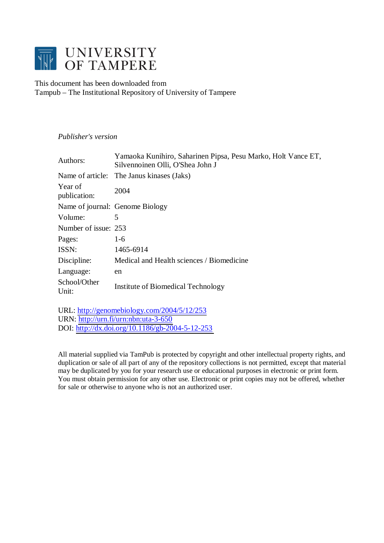

This document has been downloaded from Tampub – The Institutional Repository of University of Tampere

# *Publisher's version*

| Authors:                | Yamaoka Kunihiro, Saharinen Pipsa, Pesu Marko, Holt Vance ET,<br>Silvennoinen Olli, O'Shea John J |  |
|-------------------------|---------------------------------------------------------------------------------------------------|--|
|                         | Name of article: The Janus kinases (Jaks)                                                         |  |
| Year of<br>publication: | 2004                                                                                              |  |
|                         | Name of journal: Genome Biology                                                                   |  |
| Volume:                 | 5                                                                                                 |  |
| Number of issue: 253    |                                                                                                   |  |
| Pages:                  | $1-6$                                                                                             |  |
| ISSN:                   | 1465-6914                                                                                         |  |
| Discipline:             | Medical and Health sciences / Biomedicine                                                         |  |
| Language:               | en                                                                                                |  |
| School/Other<br>Unit:   | Institute of Biomedical Technology                                                                |  |

URL: <http://genomebiology.com/2004/5/12/253> URN: <http://urn.fi/urn:nbn:uta-3-650> DOI: <http://dx.doi.org/10.1186/gb-2004-5-12-253>

All material supplied via TamPub is protected by copyright and other intellectual property rights, and duplication or sale of all part of any of the repository collections is not permitted, except that material may be duplicated by you for your research use or educational purposes in electronic or print form. You must obtain permission for any other use. Electronic or print copies may not be offered, whether for sale or otherwise to anyone who is not an authorized user.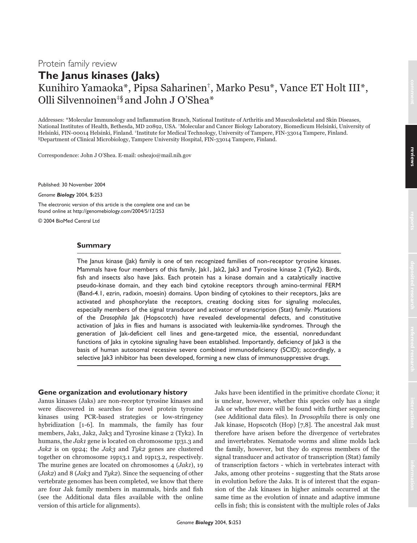# **The Janus kinases (Jaks)** Kunihiro Yamaoka\*, Pipsa Saharinen†, Marko Pesu\*, Vance ET Holt III\*, Olli Silvennoinen‡§ and John J O'Shea\*

Addresses: \*Molecular Immunology and Inflammation Branch, National Institute of Arthritis and Musculoskeletal and Skin Diseases, National Institutes of Health, Bethesda, MD 20892, USA. †Molecular and Cancer Biology Laboratory, Biomedicum Helsinki, University of Helsinki, FIN-00014 Helsinki, Finland. ‡Institute for Medical Technology, University of Tampere, FIN-33014 Tampere, Finland. §Department of Clinical Microbiology, Tampere University Hospital, FIN-33014 Tampere, Finland.

Correspondence: John J O'Shea. E-mail: osheajo@mail.nih.gov

Published: 30 November 2004

*Genome Biology* 2004, **5:**253

The electronic version of this article is the complete one and can be found online at http://genomebiology.com/2004/5/12/253

© 2004 BioMed Central Ltd

#### **Summary**

The Janus kinase (Jak) family is one of ten recognized families of non-receptor tyrosine kinases. Mammals have four members of this family,  $|ak1|$ ,  $|ak2|$ ,  $|ak3|$  and Tyrosine kinase 2 (Tyk2). Birds, fish and insects also have Jaks. Each protein has a kinase domain and a catalytically inactive pseudo-kinase domain, and they each bind cytokine receptors through amino-terminal FERM (Band-4.1, ezrin, radixin, moesin) domains. Upon binding of cytokines to their receptors, Jaks are activated and phosphorylate the receptors, creating docking sites for signaling molecules, especially members of the signal transducer and activator of transcription (Stat) family. Mutations of the *Drosophila* Jak (Hopscotch) have revealed developmental defects, and constitutive activation of Jaks in flies and humans is associated with leukemia-like syndromes. Through the generation of Jak-deficient cell lines and gene-targeted mice, the essential, nonredundant functions of Jaks in cytokine signaling have been established. Importantly, deficiency of Jak3 is the basis of human autosomal recessive severe combined immunodeficiency (SCID); accordingly, a selective Jak3 inhibitor has been developed, forming a new class of immunosuppressive drugs.

## **Gene organization and evolutionary history**

Janus kinases (Jaks) are non-receptor tyrosine kinases and were discovered in searches for novel protein tyrosine kinases using PCR-based strategies or low-stringency hybridization [1-6]. In mammals, the family has four members, Jak1, Jak2, Jak3 and Tyrosine kinase 2 (Tyk2). In humans, the *Jak1* gene is located on chromosome 1p31.3 and Jak2 is on 9p24; the Jak3 and Tyk2 genes are clustered together on chromosome 19p13.1 and 19p13.2, respectively. The murine genes are located on chromosomes 4 (*Jak1*), 19  $(Jak2)$  and 8  $(Jak3$  and  $Tyk2)$ . Since the sequencing of other vertebrate genomes has been completed, we know that there are four Jak family members in mammals, birds and fish (see the Additional data files available with the online version of this article for alignments).

Jaks have been identified in the primitive chordate Ciona; it is unclear, however, whether this species only has a single Jak or whether more will be found with further sequencing (see Additional data files). In Drosophila there is only one Jak kinase, Hopscotch (Hop) [7,8]. The ancestral Jak must therefore have arisen before the divergence of vertebrates and invertebrates. Nematode worms and slime molds lack the family, however, but they do express members of the signal transducer and activator of transcription (Stat) family of transcription factors - which in vertebrates interact with Jaks, among other proteins - suggesting that the Stats arose in evolution before the Jaks. It is of interest that the expansion of the Jak kinases in higher animals occurred at the same time as the evolution of innate and adaptive immune cells in fish; this is consistent with the multiple roles of Jaks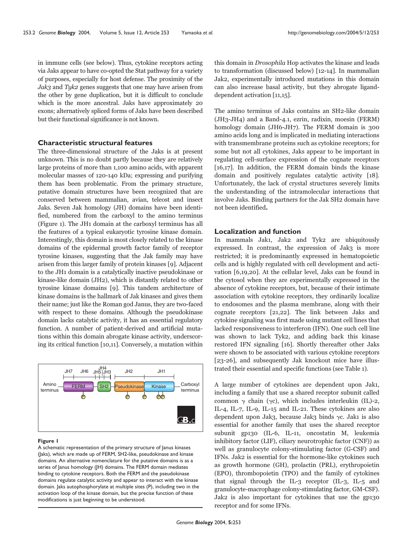in immune cells (see below). Thus, cytokine receptors acting via Jaks appear to have co-opted the Stat pathway for a variety of purposes, especially for host defense. The proximity of the  $Jak3$  and  $Tyk2$  genes suggests that one may have arisen from the other by gene duplication, but it is difficult to conclude which is the more ancestral. Jaks have approximately 20 exons; alternatively spliced forms of Jaks have been described but their functional significance is not known.

## **Characteristic structural features**

The three-dimensional structure of the Jaks is at present unknown. This is no doubt partly because they are relatively large proteins of more than 1,100 amino acids, with apparent molecular masses of 120-140 kDa; expressing and purifying them has been problematic. From the primary structure, putative domain structures have been recognized that are conserved between mammalian, avian, teleost and insect Jaks. Seven Jak homology (JH) domains have been identified, numbered from the carboxyl to the amino terminus (Figure 1). The JH1 domain at the carboxyl terminus has all the features of a typical eukaryotic tyrosine kinase domain. Interestingly, this domain is most closely related to the kinase domains of the epidermal growth factor family of receptor tyrosine kinases, suggesting that the Jak family may have arisen from this larger family of protein kinases [9]. Adjacent to the JH1 domain is a catalytically inactive pseudokinase or kinase-like domain (JH2), which is distantly related to other tyrosine kinase domains [9]. This tandem architecture of kinase domains is the hallmark of Jak kinases and gives them their name; just like the Roman god Janus, they are two-faced with respect to these domains. Although the pseudokinase domain lacks catalytic activity, it has an essential regulatory function. A number of patient-derived and artificial mutations within this domain abrogate kinase activity, underscoring its critical function [10,11]. Conversely, a mutation within



#### **Figure 1**

A schematic representation of the primary structure of Janus kinases (Jaks), which are made up of FERM, SH2-like, pseudokinase and kinase domains. An alternative nomenclature for the putative domains is as a series of Janus homology (JH) domains. The FERM domain mediates binding to cytokine receptors. Both the FERM and the pseudokinase domains regulate catalytic activity and appear to interact with the kinase domain. Jaks autophosphorylate at multiple sites (P), including two in the activation loop of the kinase domain, but the precise function of these modifications is just beginning to be understood.

this domain in Drosophila Hop activates the kinase and leads to transformation (discussed below) [12-14]. In mammalian Jak2, experimentally introduced mutations in this domain can also increase basal activity, but they abrogate liganddependent activation [11,15].

The amino terminus of Jaks contains an SH2-like domain (JH3-JH4) and a Band-4.1, ezrin, radixin, moesin (FERM) homology domain (JH6-JH7). The FERM domain is 300 amino acids long and is implicated in mediating interactions with transmembrane proteins such as cytokine receptors; for some but not all cytokines, Jaks appear to be important in regulating cell-surface expression of the cognate receptors [16,17]. In addition, the FERM domain binds the kinase domain and positively regulates catalytic activity [18]. Unfortunately, the lack of crystal structures severely limits the understanding of the intramolecular interactions that involve Jaks. Binding partners for the Jak SH2 domain have not been identified*.*

#### **Localization and function**

In mammals Jak1, Jak2 and Tyk2 are ubiquitously expressed. In contrast, the expression of Jak3 is more restricted; it is predominantly expressed in hematopoietic cells and is highly regulated with cell development and activation [6,19,20]. At the cellular level, Jaks can be found in the cytosol when they are experimentally expressed in the absence of cytokine receptors, but, because of their intimate association with cytokine receptors, they ordinarily localize to endosomes and the plasma membrane, along with their cognate receptors [21,22]. The link between Jaks and cytokine signaling was first made using mutant cell lines that lacked responsiveness to interferon (IFN). One such cell line was shown to lack Tyk2, and adding back this kinase restored IFN signaling [16]. Shortly thereafter other Jaks were shown to be associated with various cytokine receptors [23-26], and subsequently Jak knockout mice have illustrated their essential and specific functions (see Table 1).

A large number of cytokines are dependent upon Jak1, including a family that use a shared receptor subunit called common  $\gamma$  chain ( $\gamma c$ ), which includes interleukin (IL)-2, IL-4, IL-7, IL-9, IL-15 and IL-21. These cytokines are also dependent upon Jak3, because Jak3 binds  $\gamma c$ . Jak1 is also essential for another family that uses the shared receptor subunit gp130 (IL-6, IL-11, oncostatin M, leukemia inhibitory factor (LIF), ciliary neurotrophic factor (CNF)) as well as granulocyte colony-stimulating factor (G-CSF) and IFNs. Jak2 is essential for the hormone-like cytokines such as growth hormone (GH), prolactin (PRL), erythropoietin (EPO), thrombopoietin (TPO) and the family of cytokines that signal through the IL-3 receptor (IL-3, IL-5 and granulocyte-macrophage colony-stimulating factor, GM-CSF). Jak2 is also important for cytokines that use the gp130 receptor and for some IFNs.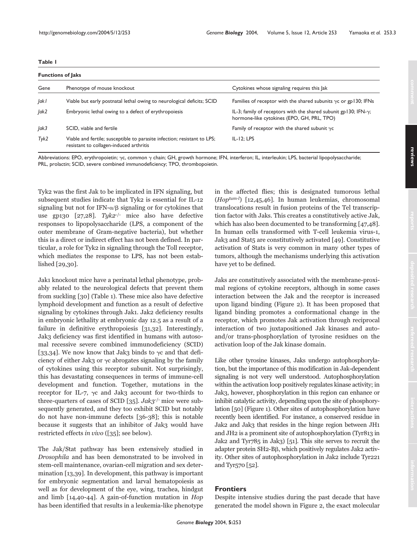### **Table 1**

| <b>Functions of Jaks</b> |                                                                                                                     |                                                                                                                        |  |
|--------------------------|---------------------------------------------------------------------------------------------------------------------|------------------------------------------------------------------------------------------------------------------------|--|
| Gene                     | Phenotype of mouse knockout                                                                                         | Cytokines whose signaling requires this lak                                                                            |  |
| ak                       | Viable but early postnatal lethal owing to neurological deficits; SCID                                              | Families of receptor with the shared subunits $\gamma c$ or gp130; IFNs                                                |  |
| Jak2                     | Embryonic lethal owing to a defect of erythropoiesis                                                                | IL-3; family of receptors with the shared subunit gp130; IFN- $\gamma$ ;<br>hormone-like cytokines (EPO, GH, PRL, TPO) |  |
| Jak3                     | SCID, viable and fertile                                                                                            | Family of receptor with the shared subunit $\gamma c$                                                                  |  |
| Tyk2                     | Viable and fertile; susceptible to parasite infection; resistant to LPS;<br>resistant to collagen-induced arthritis | $IL-I2: LPS$                                                                                                           |  |

Abbreviations: EPO, erythropoietin;  $\gamma c$ , common  $\gamma$  chain; GH, growth hormone; IFN, interferon; IL, interleukin; LPS, bacterial lipopolysaccharide; PRL, prolactin; SCID, severe combined immunodeficiency; TPO, thrombopoietin.

Tyk2 was the first Jak to be implicated in IFN signaling, but subsequent studies indicate that Tyk2 is essential for IL-12 signaling but not for IFN- $\alpha$ / $\beta$  signaling or for cytokines that use gp130 [27,28]. Tyk2<sup>-/-</sup> mice also have defective responses to lipopolysaccharide (LPS, a component of the outer membrane of Gram-negative bacteria), but whether this is a direct or indirect effect has not been defined. In particular, a role for Tyk2 in signaling through the Toll receptor, which mediates the response to LPS, has not been established [29,30].

Jak1 knockout mice have a perinatal lethal phenotype, probably related to the neurological defects that prevent them from suckling [30] (Table 1). These mice also have defective lymphoid development and function as a result of defective signaling by cytokines through Jak1. Jak2 deficiency results in embryonic lethality at embryonic day 12.5 as a result of a failure in definitive erythropoiesis [31,32]. Interestingly, Jak3 deficiency was first identified in humans with autosomal recessive severe combined immunodeficiency (SCID) [33,34]. We now know that Jak3 binds to  $\gamma c$  and that deficiency of either Jak3 or  $\gamma c$  abrogates signaling by the family of cytokines using this receptor subunit. Not surprisingly, this has devastating consequences in terms of immune-cell development and function. Together, mutations in the receptor for IL-7,  $\gamma c$  and Jak3 account for two-thirds to three-quarters of cases of SCID [35].  $Jak2^{-/-}$  mice were subsequently generated, and they too exhibit SCID but notably do not have non-immune defects [36-38]; this is notable because it suggests that an inhibitor of Jak3 would have restricted effects in vivo ([35]; see below).

The Jak/Stat pathway has been extensively studied in Drosophila and has been demonstrated to be involved in stem-cell maintenance, ovarian-cell migration and sex determination [13,39]. In development, this pathway is important for embryonic segmentation and larval hematopoiesis as well as for development of the eye, wing, trachea, hindgut and limb [14,40-44]. A gain-of-function mutation in Hop has been identified that results in a leukemia-like phenotype in the affected flies; this is designated tumorous lethal  $(Hop<sup>tum-l</sup>)$  [12,45,46]. In human leukemias, chromosomal translocations result in fusion proteins of the Tel transcription factor with Jaks. This creates a constitutively active Jak, which has also been documented to be transforming [47,48]. In human cells transformed with T-cell leukemia virus-1, Jak3 and Stat5 are constitutively activated [49]. Constitutive activation of Stats is very common in many other types of tumors, although the mechanisms underlying this activation have yet to be defined.

Jaks are constitutively associated with the membrane-proximal regions of cytokine receptors, although in some cases interaction between the Jak and the receptor is increased upon ligand binding (Figure 2). It has been proposed that ligand binding promotes a conformational change in the receptor, which promotes Jak activation through reciprocal interaction of two juxtapositioned Jak kinases and autoand/or trans-phosphorylation of tyrosine residues on the activation loop of the Jak kinase domain.

Like other tyrosine kinases, Jaks undergo autophosphorylation, but the importance of this modification in Jak-dependent signaling is not very well understood. Autophosphorylation within the activation loop positively regulates kinase activity; in Jak3, however, phosphorylation in this region can enhance or inhibit catalytic activity, depending upon the site of phosphorylation [50] (Figure 1). Other sites of autophosphorylation have recently been identified. For instance, a conserved residue in Jak2 and Jak3 that resides in the hinge region between JH1 and JH2 is a prominent site of autophosphorylation (Tyr813 in Jak2 and Tyr785 in Jak3) [51]. This site serves to recruit the adapter protein SH2-Bß, which positively regulates Jak2 activity. Other sites of autophosphorylation in Jak2 include Tyr221 and Tyr570 [52].

# **Frontiers**

Despite intensive studies during the past decade that have generated the model shown in Figure 2, the exact molecular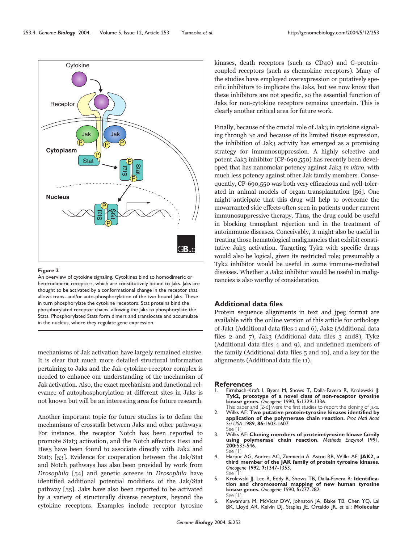

#### **Figure 2**

An overview of cytokine signaling. Cytokines bind to homodimeric or heterodimeric receptors, which are constitutively bound to Jaks. Jaks are thought to be activated by a conformational change in the receptor that allows trans- and/or auto-phosphorylation of the two bound Jaks. These in turn phosphorylate the cytokine receptors. Stat proteins bind the phosphorylated receptor chains, allowing the Jaks to phosphorylate the Stats. Phosphorylated Stats form dimers and translocate and accumulate in the nucleus, where they regulate gene expression.

mechanisms of Jak activation have largely remained elusive. It is clear that much more detailed structural information pertaining to Jaks and the Jak-cytokine-receptor complex is needed to enhance our understanding of the mechanism of Jak activation. Also, the exact mechanism and functional relevance of autophosphorylation at different sites in Jaks is not known but will be an interesting area for future research.

Another important topic for future studies is to define the mechanisms of crosstalk between Jaks and other pathways. For instance, the receptor Notch has been reported to promote Stat3 activation, and the Notch effectors Hes1 and Hes5 have been found to associate directly with Jak2 and Stat3 [53]. Evidence for cooperation between the Jak/Stat and Notch pathways has also been provided by work from Drosophila [54] and genetic screens in Drosophila have identified additional potential modifiers of the Jak/Stat pathway [55]. Jaks have also been reported to be activated by a variety of structurally diverse receptors, beyond the cytokine receptors. Examples include receptor tyrosine

kinases, death receptors (such as CD40) and G-proteincoupled receptors (such as chemokine receptors). Many of the studies have employed overexpression or putatively specific inhibitors to implicate the Jaks, but we now know that these inhibitors are not specific, so the essential function of Jaks for non-cytokine receptors remains uncertain. This is clearly another critical area for future work.

Finally, because of the crucial role of Jak3 in cytokine signaling through  $\gamma c$  and because of its limited tissue expression, the inhibition of Jak3 activity has emerged as a promising strategy for immunosuppression. A highly selective and potent Jak3 inhibitor (CP-690,550) has recently been developed that has nanomolar potency against Jak3 in vitro, with much less potency against other Jak family members. Consequently, CP-690,550 was both very efficacious and well-tolerated in animal models of organ transplantation [56]. One might anticipate that this drug will help to overcome the unwarranted side effects often seen in patients under current immunosuppressive therapy. Thus, the drug could be useful in blocking transplant rejection and in the treatment of autoimmune diseases. Conceivably, it might also be useful in treating those hematological malignancies that exhibit constitutive Jak3 activation. Targeting Tyk2 with specific drugs would also be logical, given its restricted role; presumably a Tyk2 inhibitor would be useful in some immune-mediated diseases. Whether a Jak2 inhibitor would be useful in malignancies is also worthy of consideration.

#### **Additional data files**

Protein sequence alignments in text and jpeg format are available with the online version of this article for orthologs of Jak1 (Additional data files 1 and 6), Jak2 (Additional data files 2 and 7), Jak3 (Additional data files 3 and8), Tyk2 (Additional data files 4 and 9), and undefined members of the family (Additional data files 5 and 10), and a key for the alignments (Additional data file 11).

#### **References**

- Firmbach-Kraft I, Byers M, Shows T, Dalla-Favera R, Krolewski JJ: **Tyk2, prototype of a novel class of non-receptor tyrosine kinase genes.** *Oncogene* 1990, **5:**1329-1336.
- This paper and [2-6] were the first studies to report the cloning of Jaks. 2. Wilks AF: **Two putative protein-tyrosine kinases identified by application of the polymerase chain reaction.** *Proc Natl Acad Sci USA* 1989, **86:**1603-1607. See [1].
- 3. Wilks AF: **Cloning members of protein-tyrosine kinase family using polymerase chain reaction.** *Methods Enzymol* 1991, **200:**533-546. See [ l
- 4. Harpur AG, Andres AC, Ziemiecki A, Aston RR, Wilks AF: **JAK2, a third member of the JAK family of protein tyrosine kinases.** *Oncogene* 1992, **7:**1347-1353. See [1].
- 5. Krolewski JJ, Lee R, Eddy R, Shows TB, Dalla-Favera R: **Identification and chromosomal mapping of new human tyrosine kinase genes.** *Oncogene* 1990, **5:**277-282. See [1].
- Kawamura M, McVicar DW, Johnston JA, Blake TB, Chen YQ, Lal BK, Lloyd AR, Kelvin DJ, Staples JE, Ortaldo JR, *et al*.: **Molecular**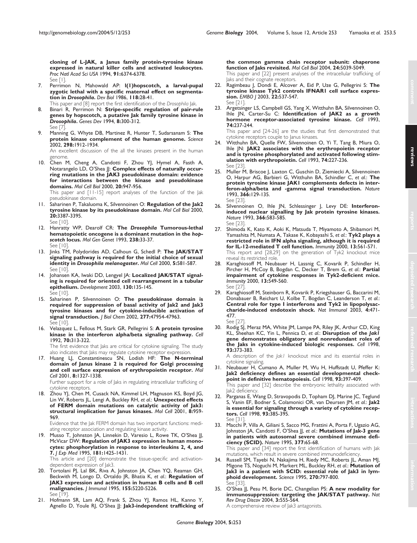**cloning of L-JAK, a Janus family protein-tyrosine kinase expressed in natural killer cells and activated leukocytes.** *Proc Natl Acad Sci USA* 1994, **91:**6374-6378. See [1].

- 7. Perrimon N, Mahowald AP: **l(1)hopscotch, a larval-pupal zygotic lethal with a specific maternal effect on segmentation in** *Drosophila***.** *Dev Biol* 1986, **118:**28-41. This paper and [8] report the first identification of the *Drosophila* Jak.
- 8. Binari R, Perrimon N: **Stripe-specific regulation of pair-rule genes by hopscotch, a putative Jak family tyrosine kinase in** *Drosophila***.** *Genes Dev* 1994, **8:**300-312. See [7].
- 9. Manning G, Whyte DB, Martinez R, Hunter T, Sudarsanam S: **The protein kinase complement of the human genome.** *Science* 2002, **298:**1912-1934.

An excellent discussion of the all the kinases present in the human genome.

10. Chen M, Cheng A, Candotti F, Zhou YJ, Hymel A, Fasth A, Notarangelo LD, O'Shea JJ: **Complex effects of naturally occurring mutations in the JAK3 pseudokinase domain: evidence for interactions between the kinase and pseudokinase domains.** *Mol Cell Biol* 2000, **20:**947-956.

This paper and [11-15] report analyses of the function of the Jak pseudokinase domain.

- 11. Saharinen P, Takaluoma K, Silvennoinen O: **Regulation of the Jak2 tyrosine kinase by its pseudokinase domain.** *Mol Cell Biol* 2000, **20:**3387-3395. See [10].
- 12. Hanratty WP, Dearolf CR: **The** *Drosophila* **Tumorous-lethal hematopoietic oncogene is a dominant mutation in the** *hopscotch* **locus.** *Mol Gen Genet* 1993, **238:**33-37. See [10].
- 13. Jinks TM, Polydorides AD, Calhoun G, Schedl P: **The JAK/STAT signaling pathway is required for the initial choice of sexual identity in** *Drosophila melanogaster***.** *Mol Cell* 2000, **5:**581-587. See [10].
- 14. Johansen KA, Iwaki DD, Lengyel JA: **Localized JAK/STAT signaling is required for oriented cell rearrangement in a tubular epithelium.** *Development* 2003, **130:**135-145. See [10].
- 15. Saharinen P, Silvennoinen O: **The pseudokinase domain is required for suppression of basal activity of Jak2 and Jak3 tyrosine kinases and for cytokine-inducible activation of signal transduction.** *J Biol Chem* 2002, **277:**47954-47963. See [10].
- 16. Velazquez L, Fellous M, Stark GR, Pellegrini S: **A protein tyrosine kinase in the interferon alpha/beta signaling pathway.** *Cell* 1992, **70:**313-322.

The first evidence that Jaks are critical for cytokine signaling. The study also indicates that Jaks may regulate cytokine receptor expression.

17. Huang LJ, Constantinescu SN, Lodish HF: **The N-terminal domain of Janus kinase 2 is required for Golgi processing and cell surface expression of erythropoietin receptor.** *Mol Cell* 2001, **8:**1327-1338.

Further support for a role of Jaks in regulating intracellular trafficking of cytokine receptors.

Zhou YJ, Chen M, Cusack NA, Kimmel LH, Magnuson KS, Boyd JG, Lin W, Roberts JL, Lengi A, Buckley RH, *et al.*: **Unexpected effects of FERM domain mutations on catalytic activity of Jak3: structural implication for Janus kinases.** *Mol Cell* 2001, **8:**959- 969.

Evidence that the Jak FERM domain has two important functions: mediating receptor association and regulating kinase activity.

19. Musso T, Johnston JA, Linnekin D, Varesio L, Rowe TK, O'Shea JJ, McVicar DW: **Regulation of JAK3 expression in human monocytes: phosphorylation in response to interleukins 2, 4, and 7.** *J Exp Med* 1995, **181:**1425-1431.

This article and [20] demonstrate the tissue-specific and activationdependent expression of Jak3.

- 20. Tortolani PJ, Lal BK, Riva A, Johnston JA, Chen YQ, Reaman GH, Beckwith M, Longo D, Ortaldo JR, Bhatia K, *et al*.: **Regulation of JAK3 expression and activation in human B cells and B cell malignancies.** *J Immunol* 1995, **155:**5220-5226. See [19].
- 21. Hofmann SR, Lam AQ, Frank S, Zhou YJ, Ramos HL, Kanno Y, Agnello D, Youle RJ, O'Shea JJ: Jak3-independent trafficking of

**the common gamma chain receptor subunit: chaperone function of Jaks revisited.** *Mol Cell Biol* 2004, **24:**5039-5049. This paper and [22] present analyses of the intracellular trafficking of aks and their cognate receptors.

- 22. Ragimbeau J, Dondi E, Alcover A, Eid P, Uze G, Pellegrini S: **The tyrosine kinase Tyk2 controls IFNAR1 cell surface expression.** *EMBO J* 2003, **22:**537-547. See [21].
- 23. Argetsinger LS, Campbell GS, Yang X, Witthuhn BA, Silvennoinen O, Ihle JN, Carter-Su C: **Identification of JAK2 as a growth hormone receptor-associated tyrosine kinase.** *Cell* 1993, **74:**237-244.

This paper and [24-26] are the studies that first demonstrated that cytokine receptors couple to Janus kinases.

- 24. Witthuhn BA, Quelle FW, Silvennoinen O, Yi T, Tang B, Miura O, Ihle JN: **JAK2 associates with the erythropoietin receptor and is tyrosine phosphorylated and activated following stimulation with erythropoietin.** *Cell* 1993, **74:**227-236. See [23].
- 25. Muller M, Briscoe J, Laxton C, Guschin D, Ziemiecki A, Silvennoinen O, Harpur AG, Barbieri G, Witthuhn BA, Schindler C, *et al*.: **The protein tyrosine kinase JAK1 complements defects in interferon-alpha/beta and -gamma signal transduction.** *Nature* 1993, **366:**129-135. See [23].
- 26. Silvennoinen O, Ihle JN, Schlessinger J, Levy DE: Interferon**induced nuclear signalling by Jak protein tyrosine kinases.** *Nature* 1993, **366:**583-585. See [23].
- 27. Shimoda K, Kato K, Aoki K, Matsuda T, Miyamoto A, Shibamori M, Yamashita M, Numata A, Takase K, Kobayashi S, *et al.*: **Tyk2 plays a restricted role in IFN alpha signaling, although it is required for IL-12-mediated T cell function.** *Immunity* 2000, **13:**561-571. This report and [28,29] on the generation of Tyk2 knockout mice reveal its restricted role.
- 28. Karaghiosoff M, Neubauer H, Lassnig C, Kovarik P, Schindler H, Pircher H, McCoy B, Bogdan C, Decker T, Brem G, *et al.*: **Partial impairment of cytokine responses in Tyk2-deficient mice.** *Immunity* 2000, **13:**549-560. See [27].
- 29. Karaghiosoff M, Steinborn R, Kovarik P, Kriegshauser G, Baccarini M, Donabauer B, Reichart U, Kolbe T, Bogdan C, Leanderson T, *et al.*: **Central role for type I interferons and Tyk2 in lipopolysaccharide-induced endotoxin shock.** *Nat Immunol* 2003, **4:**471- 477. See [27].
- 30. Rodig SJ, Meraz MA, White JM, Lampe PA, Riley JK, Arthur CD, King KL, Sheehan KC, Yin L, Pennica D, *et al.*: **Disruption of the** *Jak1* **gene demonstrates obligatory and nonredundant roles of the Jaks in cytokine-induced biologic responses.** *Cell* 1998, **93:**373-383.

A description of the *Jak1* knockout mice and its essential roles in cytokine signaling.

31. Neubauer H, Cumano A, Muller M, Wu H, Huffstadt U, Pfeffer K: **Jak2 deficiency defines an essential developmental checkpoint in definitive hematopoiesis.** *Cell* 1998, **93:**397-409. This paper and [32] describe the embryonic lethality associated with

Jak2 deficiency. 32. Parganas E, Wang D, Stravopodis D, Topham DJ, Marine JC, Teglund S, Vanin EF, Bodner S, Colamonici OR, van Deursen JM, *et al.*: **Jak2**

- **is essential for signaling through a variety of cytokine receptors.** *Cell* 1998, **93:**385-395. See [3
- 33. Macchi P, Villa A, Giliani S, Sacco MG, Frattini A, Porta F, Ugazio AG, Johnston JA, Candotti F, O'Shea JJ, *et al*.: **Mutations of Jak-3 gene in patients with autosomal severe combined immune deficiency (SCID).** *Nature* 1995, **377:**65-68.

This paper and [34] report the first identification of humans with Jak mutations, which result in severe combined immunodeficiency.

- 34. Russell SM, Tayebi N, Nakajima H, Riedy MC, Roberts JL, Aman MJ, Migone TS, Noguchi M, Markert ML, Buckley RH, *et al*.: **Mutation of Jak3 in a patient with SCID: essential role of Jak3 in lymphoid development.** *Science* 1995, **270:**797-800. See [33].
- 35. O'Shea JJ, Pesu M, Borie DC, Changelian PS: **A new modality for immunosuppression: targeting the JAK/STAT pathway.** *Nat Rev Drug Discov* 2004, **3:**555-564.

A comprehensive review of Jak3 antagonists.

**reviews**